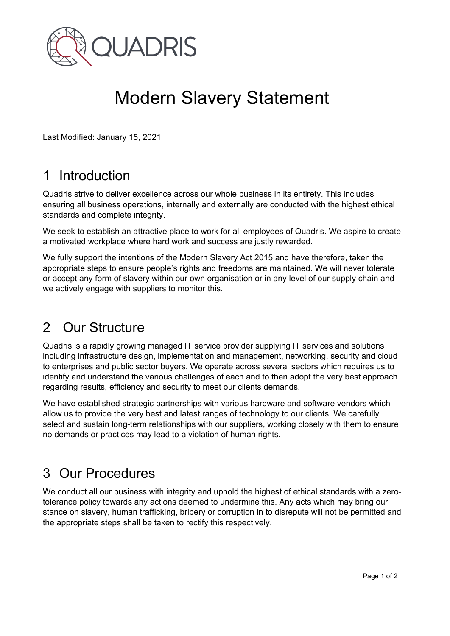

# Modern Slavery Statement

Last Modified: January 15, 2021

# 1 Introduction

Quadris strive to deliver excellence across our whole business in its entirety. This includes ensuring all business operations, internally and externally are conducted with the highest ethical standards and complete integrity.

We seek to establish an attractive place to work for all employees of Quadris. We aspire to create a motivated workplace where hard work and success are justly rewarded.

We fully support the intentions of the Modern Slavery Act 2015 and have therefore, taken the appropriate steps to ensure people's rights and freedoms are maintained. We will never tolerate or accept any form of slavery within our own organisation or in any level of our supply chain and we actively engage with suppliers to monitor this.

# 2 Our Structure

Quadris is a rapidly growing managed IT service provider supplying IT services and solutions including infrastructure design, implementation and management, networking, security and cloud to enterprises and public sector buyers. We operate across several sectors which requires us to identify and understand the various challenges of each and to then adopt the very best approach regarding results, efficiency and security to meet our clients demands.

We have established strategic partnerships with various hardware and software vendors which allow us to provide the very best and latest ranges of technology to our clients. We carefully select and sustain long-term relationships with our suppliers, working closely with them to ensure no demands or practices may lead to a violation of human rights.

#### 3 Our Procedures

We conduct all our business with integrity and uphold the highest of ethical standards with a zerotolerance policy towards any actions deemed to undermine this. Any acts which may bring our stance on slavery, human trafficking, bribery or corruption in to disrepute will not be permitted and the appropriate steps shall be taken to rectify this respectively.